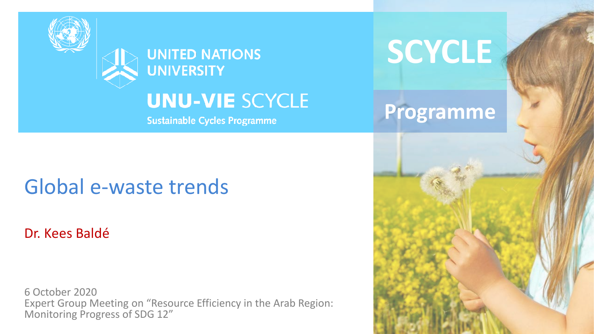

#### **UNITED NATIONS UNIVERSITY**

### **UNU-VIE SCYCLE**

**Sustainable Cycles Programme** 

### Global e-waste trends

Dr. Kees Baldé

6 October 2020 Expert Group Meeting on "Resource Efficiency in the Arab Region: Monitoring Progress of SDG 12"

# **SCYCLE**

### **Programme**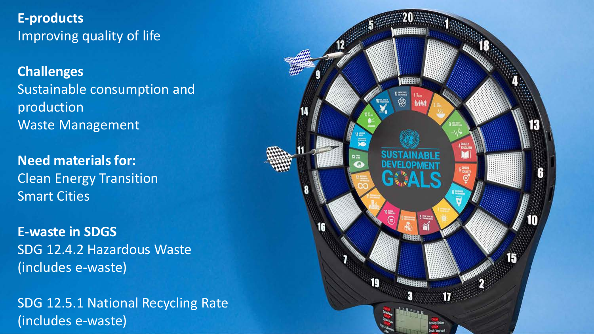**E-products** Improving quality of life

**Challenges** Sustainable consumption and production Waste Management

**Need materials for:** Clean Energy Transition Smart Cities

**E-waste in SDGS** SDG 12.4.2 Hazardous Waste (includes e-waste)

SDG 12.5.1 National Recycling Rate (includes e-waste)

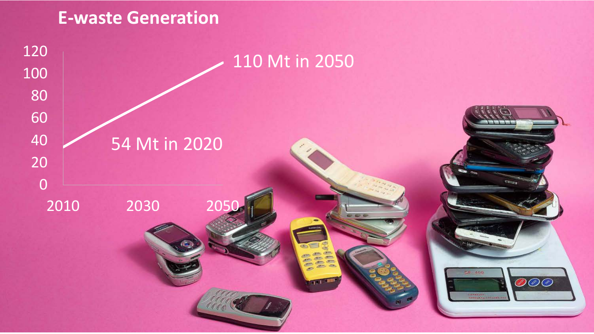### **E-waste Generation**

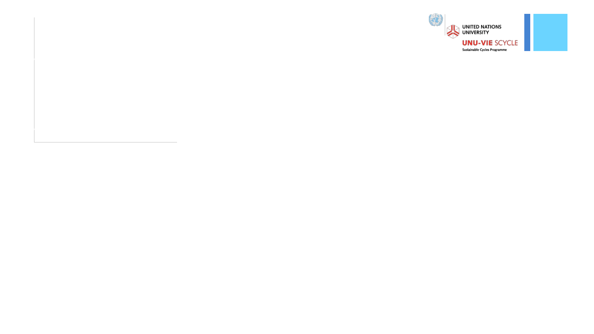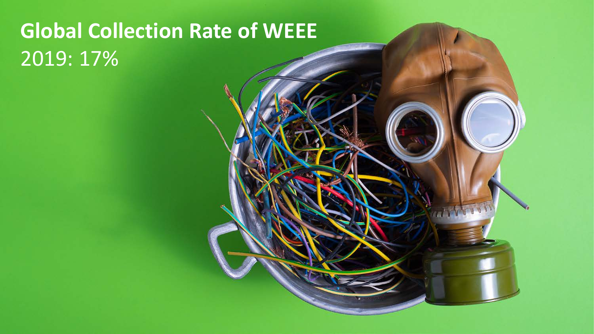## **Global Collection Rate of WEEE** 2019: 17%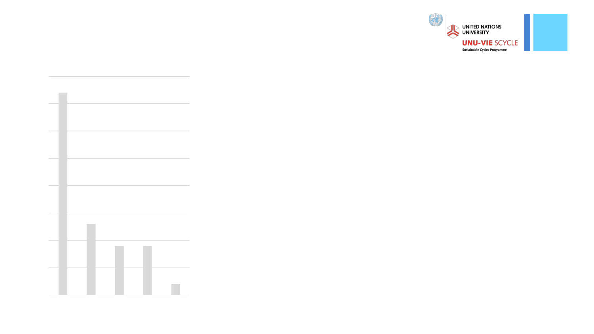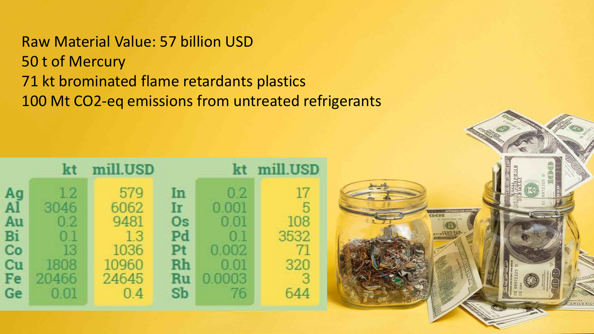Raw Material Value: 57 billion USD 50 t of Mercury 71 kt brominated flame retardants plastics 100 Mt CO2-eq emissions from untreated refrigerants

|                                              | kt                                                                 | mill.USD                                                   |                                              | kt                                                           | mill.USD                                 |  |
|----------------------------------------------|--------------------------------------------------------------------|------------------------------------------------------------|----------------------------------------------|--------------------------------------------------------------|------------------------------------------|--|
| Ag<br>Al<br>Au<br>Bi<br>Co<br>cu<br>Fe<br>Ge | 12<br>3046<br>0.2<br>0 <sup>1</sup><br>13<br>1808<br>20466<br>0.01 | 579<br>6062<br>9481<br>1.3<br>1036<br>10960<br>24645<br>04 | In<br>Ir<br>Os<br>Pd<br>Pt<br>Rh<br>Ru<br>Sb | 0.2<br>0.001<br>0.01<br>0 I<br>0.002<br>0.01<br>0.0003<br>76 | 17<br>5<br>108<br>3532<br>71<br>320<br>3 |  |

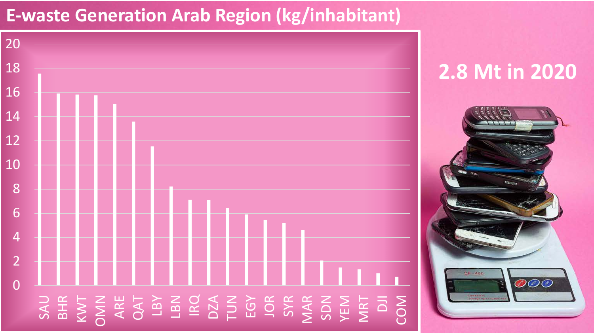### **E-waste Generation Arab Region (kg/inhabitant)**



### **2.8 Mt in 2020**

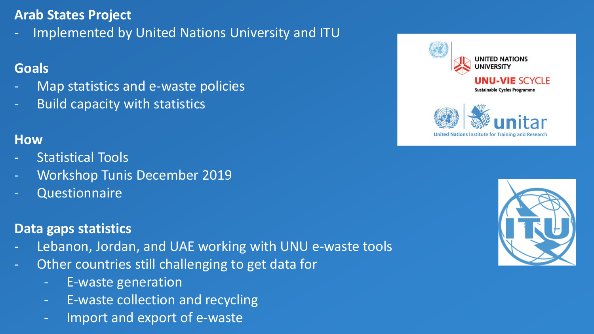#### **Arab States Project**

- Implemented by United Nations University and ITU

#### **Goals**

- Map statistics and e-waste policies
- Build capacity with statistics

#### **How**

- Statistical Tools
- Workshop Tunis December 2019
- **Questionnaire**

#### **Data gaps statistics**

- Lebanon, Jordan, and UAE working with UNU e-waste tools
- Other countries still challenging to get data for
	- E-waste generation
	- E-waste collection and recycling
	- Import and export of e-waste